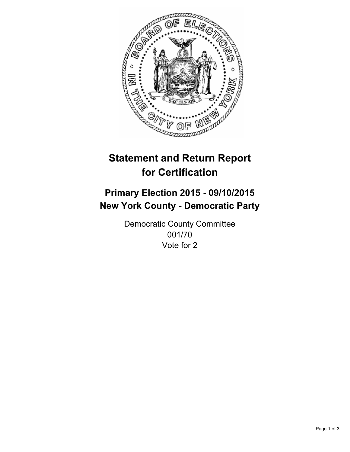

# **Statement and Return Report for Certification**

## **Primary Election 2015 - 09/10/2015 New York County - Democratic Party**

Democratic County Committee 001/70 Vote for 2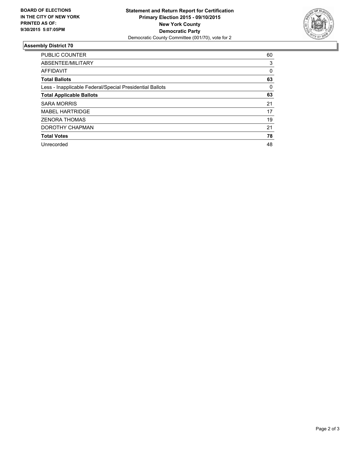

#### **Assembly District 70**

| <b>PUBLIC COUNTER</b>                                    | 60 |
|----------------------------------------------------------|----|
| ABSENTEE/MILITARY                                        | 3  |
| <b>AFFIDAVIT</b>                                         | 0  |
| <b>Total Ballots</b>                                     | 63 |
| Less - Inapplicable Federal/Special Presidential Ballots | 0  |
| <b>Total Applicable Ballots</b>                          | 63 |
| <b>SARA MORRIS</b>                                       | 21 |
| <b>MABEL HARTRIDGE</b>                                   | 17 |
| <b>ZENORA THOMAS</b>                                     | 19 |
| DOROTHY CHAPMAN                                          | 21 |
| <b>Total Votes</b>                                       | 78 |
| Unrecorded                                               | 48 |